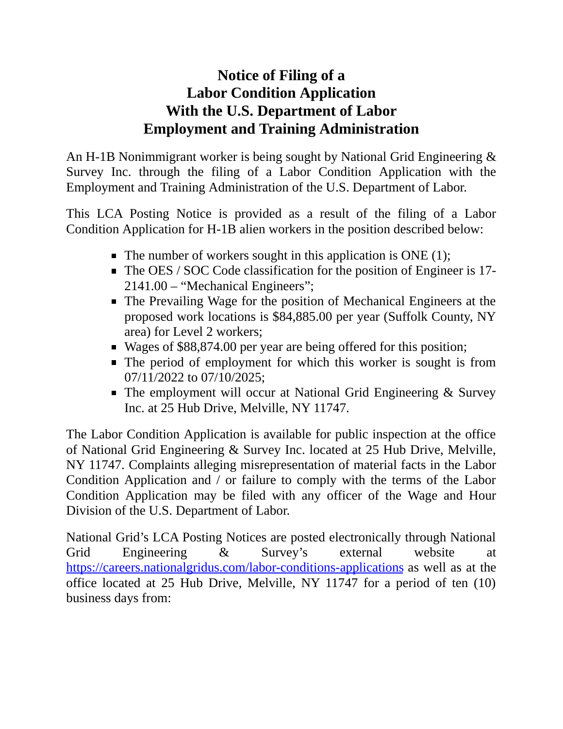## **Notice of Filing of a Labor Condition Application With the U.S. Department of Labor Employment and Training Administration**

An H-1B Nonimmigrant worker is being sought by National Grid Engineering & Survey Inc. through the filing of a Labor Condition Application with the Employment and Training Administration of the U.S. Department of Labor.

This LCA Posting Notice is provided as a result of the filing of a Labor Condition Application for H-1B alien workers in the position described below:

- $\blacksquare$  The number of workers sought in this application is ONE (1);
- The OES / SOC Code classification for the position of Engineer is 17-2141.00 – "Mechanical Engineers";
- The Prevailing Wage for the position of Mechanical Engineers at the proposed work locations is \$84,885.00 per year (Suffolk County, NY area) for Level 2 workers;
- Wages of \$88,874.00 per year are being offered for this position;
- The period of employment for which this worker is sought is from 07/11/2022 to 07/10/2025;
- The employment will occur at National Grid Engineering & Survey Inc. at 25 Hub Drive, Melville, NY 11747.

The Labor Condition Application is available for public inspection at the office of National Grid Engineering & Survey Inc. located at 25 Hub Drive, Melville, NY 11747. Complaints alleging misrepresentation of material facts in the Labor Condition Application and / or failure to comply with the terms of the Labor Condition Application may be filed with any officer of the Wage and Hour Division of the U.S. Department of Labor.

National Grid's LCA Posting Notices are posted electronically through National Grid Engineering & Survey's external website at <https://careers.nationalgridus.com/labor-conditions-applications> as well as at the office located at 25 Hub Drive, Melville, NY 11747 for a period of ten (10) business days from: